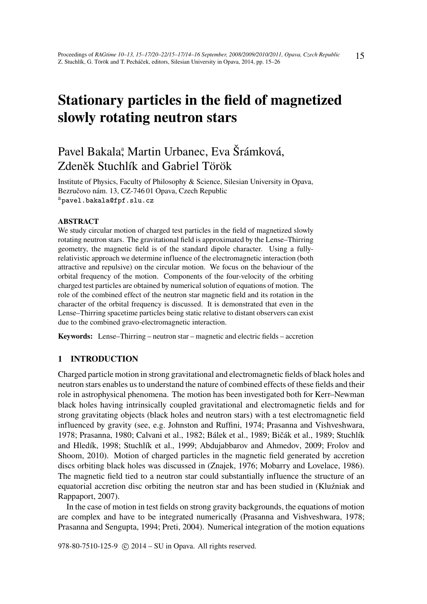# Stationary particles in the field of magnetized slowly rotating neutron stars

# Pavel Bakala<sup>ª</sup>, Martin Urbanec, Eva Šrámková, Zdeněk Stuchlík and Gabriel Török

Institute of Physics, Faculty of Philosophy & Science, Silesian University in Opava, Bezručovo nám. 13, CZ-746 01 Opava, Czech Republic apavel.bakala@fpf.slu.cz

#### ABSTRACT

We study circular motion of charged test particles in the field of magnetized slowly rotating neutron stars. The gravitational field is approximated by the Lense–Thirring geometry, the magnetic field is of the standard dipole character. Using a fullyrelativistic approach we determine influence of the electromagnetic interaction (both attractive and repulsive) on the circular motion. We focus on the behaviour of the orbital frequency of the motion. Components of the four-velocity of the orbiting charged test particles are obtained by numerical solution of equations of motion. The role of the combined effect of the neutron star magnetic field and its rotation in the character of the orbital frequency is discussed. It is demonstrated that even in the Lense–Thirring spacetime particles being static relative to distant observers can exist due to the combined gravo-electromagnetic interaction.

Keywords: Lense–Thirring – neutron star – magnetic and electric fields – accretion

# 1 INTRODUCTION

Charged particle motion in strong gravitational and electromagnetic fields of black holes and neutron stars enables us to understand the nature of combined effects of these fields and their role in astrophysical phenomena. The motion has been investigated both for Kerr–Newman black holes having intrinsically coupled gravitational and electromagnetic fields and for strong gravitating objects (black holes and neutron stars) with a test electromagnetic field influenced by gravity (see, e.g. Johnston and Ruffini, 1974; Prasanna and Vishveshwara, 1978; Prasanna, 1980; Calvani et al., 1982; Bálek et al., 1989; Bičák et al., 1989; Stuchlík and Hledík, 1998; Stuchlík et al., 1999; Abdujabbarov and Ahmedov, 2009; Frolov and Shoom, 2010). Motion of charged particles in the magnetic field generated by accretion discs orbiting black holes was discussed in (Znajek, 1976; Mobarry and Lovelace, 1986). The magnetic field tied to a neutron star could substantially influence the structure of an equatorial accretion disc orbiting the neutron star and has been studied in (Kluźniak and Rappaport, 2007).

In the case of motion in test fields on strong gravity backgrounds, the equations of motion are complex and have to be integrated numerically (Prasanna and Vishveshwara, 1978; Prasanna and Sengupta, 1994; Preti, 2004). Numerical integration of the motion equations

978-80-7510-125-9 © 2014 – SU in Opava. All rights reserved.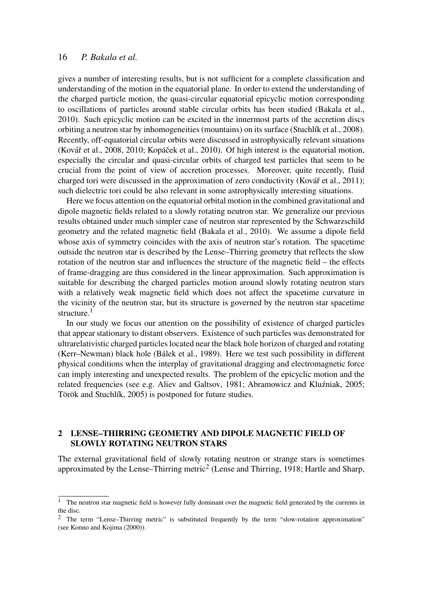gives a number of interesting results, but is not sufficient for a complete classification and understanding of the motion in the equatorial plane. In order to extend the understanding of the charged particle motion, the quasi-circular equatorial epicyclic motion corresponding to oscillations of particles around stable circular orbits has been studied (Bakala et al., 2010). Such epicyclic motion can be excited in the innermost parts of the accretion discs orbiting a neutron star by inhomogeneities (mountains) on its surface (Stuchlík et al., 2008). Recently, off-equatorial circular orbits were discussed in astrophysically relevant situations (Kovář et al., 2008, 2010; Kopáček et al., 2010). Of high interest is the equatorial motion, especially the circular and quasi-circular orbits of charged test particles that seem to be crucial from the point of view of accretion processes. Moreover, quite recently, fluid charged tori were discussed in the approximation of zero conductivity (Kovář et al., 2011); such dielectric tori could be also relevant in some astrophysically interesting situations.

Here we focus attention on the equatorial orbital motion in the combined gravitational and dipole magnetic fields related to a slowly rotating neutron star. We generalize our previous results obtained under much simpler case of neutron star represented by the Schwarzschild geometry and the related magnetic field (Bakala et al., 2010). We assume a dipole field whose axis of symmetry coincides with the axis of neutron star's rotation. The spacetime outside the neutron star is described by the Lense–Thirring geometry that reflects the slow rotation of the neutron star and influences the structure of the magnetic field – the effects of frame-dragging are thus considered in the linear approximation. Such approximation is suitable for describing the charged particles motion around slowly rotating neutron stars with a relatively weak magnetic field which does not affect the spacetime curvature in the vicinity of the neutron star, but its structure is governed by the neutron star spacetime structure.<sup>1</sup>

In our study we focus our attention on the possibility of existence of charged particles that appear stationary to distant observers. Existence of such particles was demonstrated for ultrarelativistic charged particles located near the black hole horizon of charged and rotating (Kerr–Newman) black hole (Bálek et al., 1989). Here we test such possibility in different physical conditions when the interplay of gravitational dragging and electromagnetic force can imply interesting and unexpected results. The problem of the epicyclic motion and the related frequencies (see e.g. Aliev and Galtsov, 1981; Abramowicz and Kluźniak, 2005; Török and Stuchlík, 2005) is postponed for future studies.

# 2 LENSE–THIRRING GEOMETRY AND DIPOLE MAGNETIC FIELD OF SLOWLY ROTATING NEUTRON STARS

The external gravitational field of slowly rotating neutron or strange stars is sometimes approximated by the Lense–Thirring metric<sup>2</sup> (Lense and Thirring, 1918; Hartle and Sharp,

<sup>&</sup>lt;sup>1</sup> The neutron star magnetic field is however fully dominant over the magnetic field generated by the currents in the disc.

<sup>2</sup> The term "Lense–Thirring metric" is substituted frequently by the term "slow-rotation approximation" (see Konno and Kojima (2000)).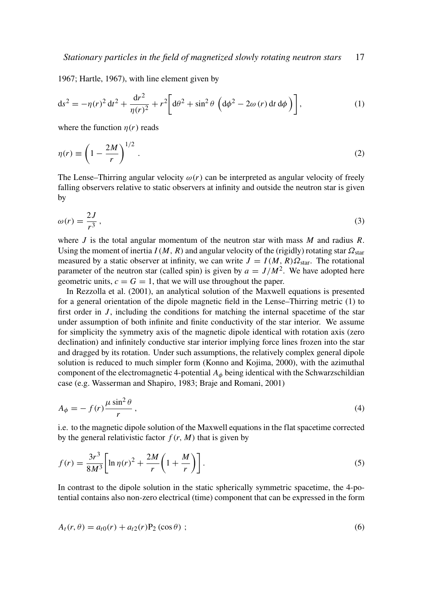1967; Hartle, 1967), with line element given by

$$
ds^{2} = -\eta(r)^{2} dt^{2} + \frac{dr^{2}}{\eta(r)^{2}} + r^{2} \left[ d\theta^{2} + \sin^{2} \theta \left( d\phi^{2} - 2\omega(r) dt d\phi \right) \right],
$$
 (1)

where the function  $\eta(r)$  reads

$$
\eta(r) \equiv \left(1 - \frac{2M}{r}\right)^{1/2} \,. \tag{2}
$$

The Lense–Thirring angular velocity  $\omega(r)$  can be interpreted as angular velocity of freely falling observers relative to static observers at infinity and outside the neutron star is given by

$$
\omega(r) = \frac{2J}{r^3},\tag{3}
$$

where *J* is the total angular momentum of the neutron star with mass *M* and radius *R*. Using the moment of inertia  $I(M, R)$  and angular velocity of the (rigidly) rotating star  $\Omega_{\text{star}}$ measured by a static observer at infinity, we can write  $J = I(M, R)\Omega_{\text{star}}$ . The rotational parameter of the neutron star (called spin) is given by  $a = J/M^2$ . We have adopted here geometric units,  $c = G = 1$ , that we will use throughout the paper.

In Rezzolla et al. (2001), an analytical solution of the Maxwell equations is presented for a general orientation of the dipole magnetic field in the Lense–Thirring metric (1) to first order in  $J$ , including the conditions for matching the internal spacetime of the star under assumption of both infinite and finite conductivity of the star interior. We assume for simplicity the symmetry axis of the magnetic dipole identical with rotation axis (zero declination) and infinitely conductive star interior implying force lines frozen into the star and dragged by its rotation. Under such assumptions, the relatively complex general dipole solution is reduced to much simpler form (Konno and Kojima, 2000), with the azimuthal component of the electromagnetic 4-potential  $A_{\phi}$  being identical with the Schwarzschildian case (e.g. Wasserman and Shapiro, 1983; Braje and Romani, 2001)

$$
A_{\phi} = -f(r)\frac{\mu\sin^2\theta}{r},\tag{4}
$$

i.e. to the magnetic dipole solution of the Maxwell equations in the flat spacetime corrected by the general relativistic factor  $f(r, M)$  that is given by

$$
f(r) = \frac{3r^3}{8M^3} \left[ \ln \eta(r)^2 + \frac{2M}{r} \left( 1 + \frac{M}{r} \right) \right].
$$
 (5)

In contrast to the dipole solution in the static spherically symmetric spacetime, the 4-potential contains also non-zero electrical (time) component that can be expressed in the form

$$
A_t(r,\theta) = a_{t0}(r) + a_{t2}(r)P_2(\cos\theta) ;
$$
\n(6)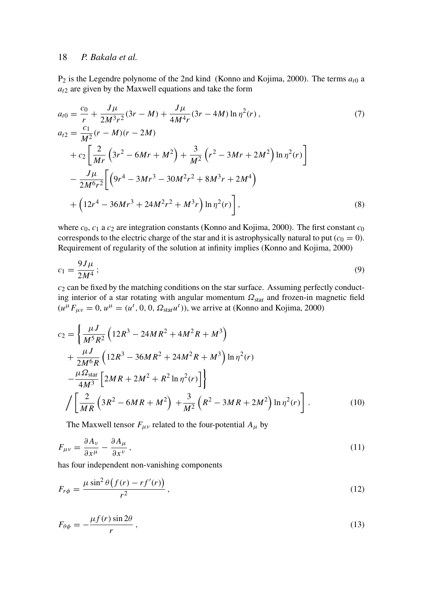$P_2$  is the Legendre polynome of the 2nd kind (Konno and Kojima, 2000). The terms  $a_{i0}$  a  $a_{t2}$  are given by the Maxwell equations and take the form

$$
a_{t0} = \frac{c_0}{r} + \frac{J\mu}{2M^3r^2}(3r - M) + \frac{J\mu}{4M^4r}(3r - 4M)\ln\eta^2(r),
$$
  
\n
$$
a_{t2} = \frac{c_1}{M^2}(r - M)(r - 2M)
$$
  
\n
$$
+ c_2\left[\frac{2}{Mr}\left(3r^2 - 6Mr + M^2\right) + \frac{3}{M^2}\left(r^2 - 3Mr + 2M^2\right)\ln\eta^2(r)\right]
$$
  
\n
$$
- \frac{J\mu}{2M^6r^2}\left[\left(9r^4 - 3Mr^3 - 30M^2r^2 + 8M^3r + 2M^4\right)
$$
  
\n
$$
+ \left(12r^4 - 36Mr^3 + 24M^2r^2 + M^3r\right)\ln\eta^2(r)\right],
$$
\n(8)

where *c*<sub>0</sub>, *c*<sub>1</sub> a *c*<sub>2</sub> are integration constants (Konno and Kojima, 2000). The first constant *c*<sub>0</sub> corresponds to the electric charge of the star and it is astrophysically natural to put  $(c_0 = 0)$ . Requirement of regularity of the solution at infinity implies (Konno and Kojima, 2000)

$$
c_1 = \frac{9J\mu}{2M^4};\tag{9}
$$

*c*<sup>2</sup> can be fixed by the matching conditions on the star surface. Assuming perfectly conducting interior of a star rotating with angular momentum  $\Omega_{star}$  and frozen-in magnetic field  $(u^{\mu}F_{\mu\nu} = 0, u^{\mu} = (u^t, 0, 0, \Omega_{\text{star}}u^t)$ , we arrive at (Konno and Kojima, 2000)

$$
c_2 = \left\{ \frac{\mu J}{M^5 R^2} \left( 12R^3 - 24MR^2 + 4M^2R + M^3 \right) + \frac{\mu J}{2M^6 R} \left( 12R^3 - 36MR^2 + 24M^2R + M^3 \right) \ln \eta^2(r) - \frac{\mu \Omega_{\text{star}}}{4M^3} \left[ 2MR + 2M^2 + R^2 \ln \eta^2(r) \right] \right\}
$$
  

$$
\left/ \left[ \frac{2}{MR} \left( 3R^2 - 6MR + M^2 \right) + \frac{3}{M^2} \left( R^2 - 3MR + 2M^2 \right) \ln \eta^2(r) \right].
$$
 (10)

The Maxwell tensor  $F_{\mu\nu}$  related to the four-potential  $A_{\mu}$  by

$$
F_{\mu\nu} = \frac{\partial A_{\nu}}{\partial x^{\mu}} - \frac{\partial A_{\mu}}{\partial x^{\nu}},
$$
\n(11)

has four independent non-vanishing components

$$
F_{r\phi} = \frac{\mu \sin^2 \theta \left( f(r) - rf'(r) \right)}{r^2},\tag{12}
$$

$$
F_{\theta\phi} = -\frac{\mu f(r)\sin 2\theta}{r},\tag{13}
$$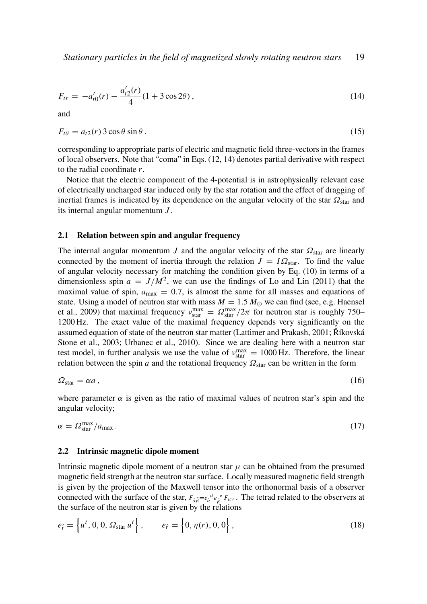$$
F_{tr} = -a'_{t0}(r) - \frac{a'_{t2}(r)}{4}(1+3\cos 2\theta),\tag{14}
$$

and

$$
F_{t\theta} = a_{t2}(r) \, 3\cos\theta \sin\theta \,. \tag{15}
$$

corresponding to appropriate parts of electric and magnetic field three-vectors in the frames of local observers. Note that "coma" in Eqs. (12, 14) denotes partial derivative with respect to the radial coordinate *r*.

Notice that the electric component of the 4-potential is in astrophysically relevant case of electrically uncharged star induced only by the star rotation and the effect of dragging of inertial frames is indicated by its dependence on the angular velocity of the star  $\Omega_{star}$  and its internal angular momentum *J* .

#### 2.1 Relation between spin and angular frequency

The internal angular momentum *J* and the angular velocity of the star  $\Omega_{\text{star}}$  are linearly connected by the moment of inertia through the relation  $J = I\Omega_{\text{star}}$ . To find the value of angular velocity necessary for matching the condition given by Eq. (10) in terms of a dimensionless spin  $a = J/M^2$ , we can use the findings of Lo and Lin (2011) that the maximal value of spin,  $a_{\text{max}} = 0.7$ , is almost the same for all masses and equations of state. Using a model of neutron star with mass  $M = 1.5 M_{\odot}$  we can find (see, e.g. Haensel et al., 2009) that maximal frequency  $v_{\text{star}}^{\text{max}} = \Omega_{\text{star}}^{\text{max}}/2\pi$  for neutron star is roughly 750– 1200 Hz. The exact value of the maximal frequency depends very significantly on the assumed equation of state of the neutron star matter (Lattimer and Prakash, 2001; Říkovská Stone et al., 2003; Urbanec et al., 2010). Since we are dealing here with a neutron star test model, in further analysis we use the value of  $v_{\text{star}}^{\text{max}} = 1000 \text{ Hz}$ . Therefore, the linear relation between the spin *a* and the rotational frequency  $\Omega_{\text{star}}$  can be written in the form

$$
\Omega_{\text{star}} = \alpha a \,,\tag{16}
$$

where parameter  $\alpha$  is given as the ratio of maximal values of neutron star's spin and the angular velocity;

$$
\alpha = \Omega_{\text{star}}^{\text{max}} / a_{\text{max}} \,. \tag{17}
$$

#### 2.2 Intrinsic magnetic dipole moment

Intrinsic magnetic dipole moment of a neutron star  $\mu$  can be obtained from the presumed magnetic field strength at the neutron star surface. Locally measured magnetic field strength is given by the projection of the Maxwell tensor into the orthonormal basis of a observer connected with the surface of the star,  $F_{\hat{\alpha}\hat{\beta}} = e_{\hat{\alpha}}^{\alpha} e_{\hat{\beta}}^{\nu} F_{\mu\nu}$ . The tetrad related to the observers at the surface of the neutron star is given by the relations

$$
e_{\hat{t}} = \left\{ u^t, 0, 0, \Omega_{\text{star}} u^t \right\}, \qquad e_{\hat{r}} = \left\{ 0, \eta(r), 0, 0 \right\},\tag{18}
$$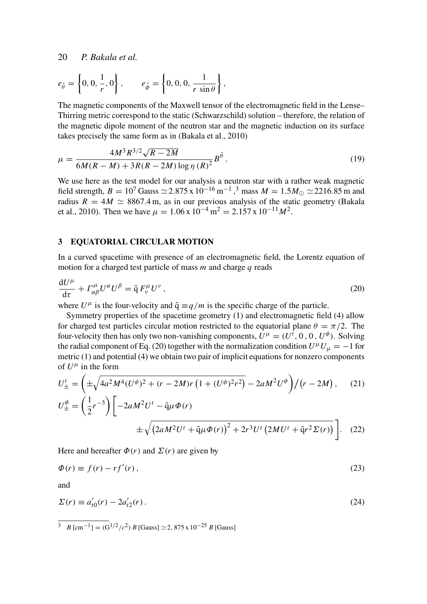$$
e_{\hat{\theta}} = \left\{0, 0, \frac{1}{r}, 0\right\}, \qquad e_{\hat{\phi}} = \left\{0, 0, 0, \frac{1}{r \sin \theta}\right\},\
$$

The magnetic components of the Maxwell tensor of the electromagnetic field in the Lense– Thirring metric correspond to the static (Schwarzschild) solution – therefore, the relation of the magnetic dipole moment of the neutron star and the magnetic induction on its surface takes precisely the same form as in (Bakala et al., 2010)

$$
\mu = \frac{4M^3 R^{3/2} \sqrt{R - 2M}}{6M(R - M) + 3R(R - 2M) \log \eta (R)^2} B^{\hat{\theta}}.
$$
\n(19)

We use here as the test model for our analysis a neutron star with a rather weak magnetic field strength, *B* =  $10^7$  Gauss  $\simeq$  2.875 x  $10^{-16}$  m<sup>-1</sup>,<sup>3</sup> mass *M* =  $1.5M_{\odot} \simeq$  2216.85 m and radius  $R = 4M \approx 8867.4$  m, as in our previous analysis of the static geometry (Bakala et al., 2010). Then we have  $\mu = 1.06 \times 10^{-4} \,\mathrm{m}^2 = 2.157 \times 10^{-11} M^2$ .

#### 3 EQUATORIAL CIRCULAR MOTION

In a curved spacetime with presence of an electromagnetic field, the Lorentz equation of motion for a charged test particle of mass *m* and charge *q* reads

$$
\frac{\mathrm{d}U^{\mu}}{\mathrm{d}\tau} + \Gamma^{\mu}_{\alpha\beta}U^{\alpha}U^{\beta} = \tilde{\mathbf{q}} F^{\mu}_{\nu}U^{\nu},\qquad(20)
$$

where  $U^{\mu}$  is the four-velocity and  $\tilde{q} \equiv q/m$  is the specific charge of the particle.

Symmetry properties of the spacetime geometry (1) and electromagnetic field (4) allow for charged test particles circular motion restricted to the equatorial plane  $\theta = \pi/2$ . The four-velocity then has only two non-vanishing components,  $U^{\mu} = (U^t, 0, 0, U^{\phi})$ . Solving the radial component of Eq. (20) together with the normalization condition  $U^{\mu}U_{\mu} = -1$  for metric (1) and potential (4) we obtain two pair of implicit equations for nonzero components of  $U^{\mu}$  in the form

$$
U_{\pm}^{t} = \left(\pm\sqrt{4a^{2}M^{4}(U^{\phi})^{2} + (r - 2M)r\left(1 + (U^{\phi})^{2}r^{2}\right)} - 2aM^{2}U^{\phi}\right)/(r - 2M), \quad (21)
$$
  

$$
U_{\pm}^{\phi} = \left(\frac{1}{2}r^{-3}\right)\left[-2aM^{2}U^{t} - \tilde{q}\mu\Phi(r)\right.
$$

$$
\pm\sqrt{\left(2aM^{2}U^{t} + \tilde{q}\mu\Phi(r)\right)^{2} + 2r^{3}U^{t}\left(2MU^{t} + \tilde{q}r^{2}\Sigma(r)\right)}\right]. \quad (22)
$$

Here and hereafter  $\Phi(r)$  and  $\Sigma(r)$  are given by

$$
\Phi(r) \equiv f(r) - rf'(r) \,,\tag{23}
$$

and

$$
\Sigma(r) \equiv a'_{10}(r) - 2a'_{12}(r) \,. \tag{24}
$$

<sup>3</sup> *B* [cm<sup>-1</sup>] =  $(G^{1/2}/c^2)$  *B* [Gauss]  $\simeq$  2, 875 x 10<sup>-25</sup> *B* [Gauss]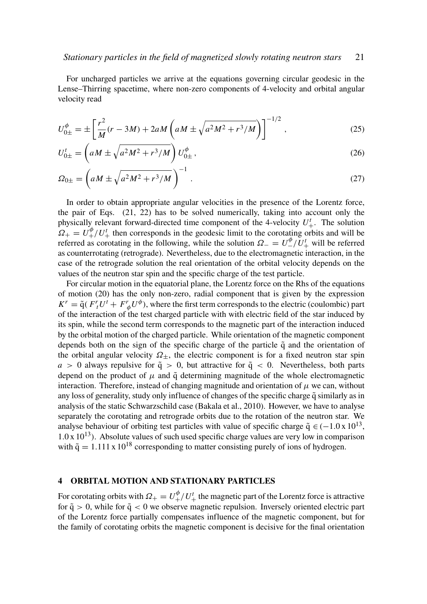For uncharged particles we arrive at the equations governing circular geodesic in the Lense–Thirring spacetime, where non-zero components of 4-velocity and orbital angular velocity read

$$
U_{0\pm}^{\phi} = \pm \left[ \frac{r^2}{M} (r - 3M) + 2aM \left( aM \pm \sqrt{a^2 M^2 + r^3 / M} \right) \right]^{-1/2}, \tag{25}
$$

$$
U_{0\pm}^t = \left( aM \pm \sqrt{a^2 M^2 + r^3 / M} \right) U_{0\pm}^\phi \,, \tag{26}
$$

$$
\Omega_{0\pm} = \left( aM \pm \sqrt{a^2 M^2 + r^3/M} \right)^{-1} . \tag{27}
$$

In order to obtain appropriate angular velocities in the presence of the Lorentz force, the pair of Eqs. (21, 22) has to be solved numerically, taking into account only the physically relevant forward-directed time component of the 4-velocity  $U^t_+$ . The solution  $\Omega_+ = U_+^{\phi}/U_+^t$  then corresponds in the geodesic limit to the corotating orbits and will be referred as corotating in the following, while the solution  $\Omega = U^{\phi}_{-}/U^t_{+}$  will be referred as counterrotating (retrograde). Nevertheless, due to the electromagnetic interaction, in the case of the retrograde solution the real orientation of the orbital velocity depends on the values of the neutron star spin and the specific charge of the test particle.

For circular motion in the equatorial plane, the Lorentz force on the Rhs of the equations of motion (20) has the only non-zero, radial component that is given by the expression  $K^r = \tilde{q}(F^r_t U^t + F^r_{\phi} U^{\phi})$ , where the first term corresponds to the electric (coulombic) part of the interaction of the test charged particle with with electric field of the star induced by its spin, while the second term corresponds to the magnetic part of the interaction induced by the orbital motion of the charged particle. While orientation of the magnetic component depends both on the sign of the specific charge of the particle  $\tilde{q}$  and the orientation of the orbital angular velocity  $\Omega_{\pm}$ , the electric component is for a fixed neutron star spin  $a > 0$  always repulsive for  $\tilde{q} > 0$ , but attractive for  $\tilde{q} < 0$ . Nevertheless, both parts depend on the product of  $\mu$  and  $\tilde{q}$  determining magnitude of the whole electromagnetic interaction. Therefore, instead of changing magnitude and orientation of  $\mu$  we can, without any loss of generality, study only influence of changes of the specific charge  $\tilde{q}$  similarly as in analysis of the static Schwarzschild case (Bakala et al., 2010). However, we have to analyse separately the corotating and retrograde orbits due to the rotation of the neutron star. We analyse behaviour of orbiting test particles with value of specific charge  $\tilde{q} \in (-1.0 \times 10^{13},$  $1.0 \times 10^{13}$ ). Absolute values of such used specific charge values are very low in comparison with  $\tilde{q} = 1.111 \times 10^{18}$  corresponding to matter consisting purely of ions of hydrogen.

# 4 ORBITAL MOTION AND STATIONARY PARTICLES

For corotating orbits with  $\Omega_+ = U_+^{\phi}/U_+^t$  the magnetic part of the Lorentz force is attractive for  $\tilde{q} > 0$ , while for  $\tilde{q} < 0$  we observe magnetic repulsion. Inversely oriented electric part of the Lorentz force partially compensates influence of the magnetic component, but for the family of corotating orbits the magnetic component is decisive for the final orientation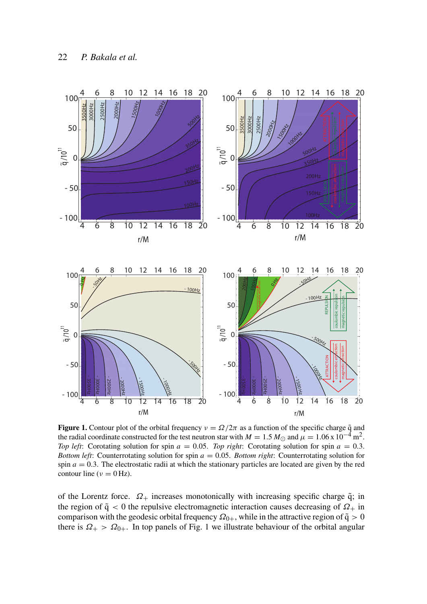

**Figure 1.** Contour plot of the orbital frequency  $v = \Omega/2\pi$  as a function of the specific charge  $\tilde{q}$  and the radial coordinate constructed for the test neutron star with  $M = 1.5 M_{\odot}$  and  $\mu = 1.06 \times 10^{-4}$  m<sup>2</sup>. *Top left*: Corotating solution for spin *a* = 0.05. *Top right*: Corotating solution for spin *a* = 0.3. *Bottom left*: Counterrotating solution for spin *a* = 0.05. *Bottom right*: Counterrotating solution for spin  $a = 0.3$ . The electrostatic radii at which the stationary particles are located are given by the red contour line ( $\nu = 0$  Hz).

of the Lorentz force.  $\Omega_+$  increases monotonically with increasing specific charge  $\tilde{q}$ ; in the region of  $\tilde{q}$  < 0 the repulsive electromagnetic interaction causes decreasing of  $\Omega_{+}$  in comparison with the geodesic orbital frequency  $\Omega_{0+}$ , while in the attractive region of  $\tilde{q} > 0$ there is  $\Omega_+$  >  $\Omega_{0+}$ . In top panels of Fig. 1 we illustrate behaviour of the orbital angular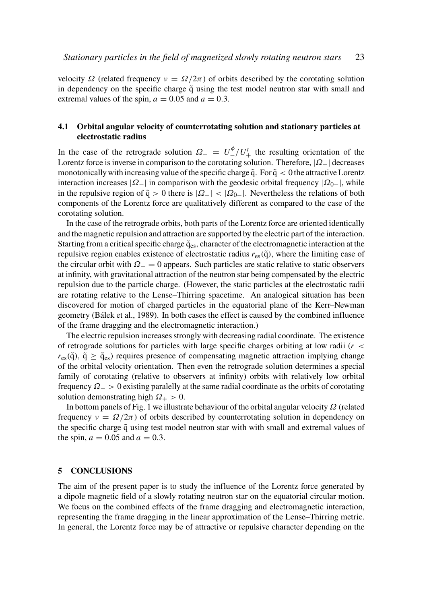velocity  $\Omega$  (related frequency  $\nu = \Omega/2\pi$ ) of orbits described by the corotating solution in dependency on the specific charge  $\tilde{q}$  using the test model neutron star with small and extremal values of the spin,  $a = 0.05$  and  $a = 0.3$ .

### 4.1 Orbital angular velocity of counterrotating solution and stationary particles at electrostatic radius

In the case of the retrograde solution  $\Omega = U^{\phi}_{-}/U^{\dagger}_{+}$  the resulting orientation of the Lorentz force is inverse in comparison to the corotating solution. Therefore,  $|\Omega_-\|$  decreases monotonically with increasing value of the specific charge  $\tilde{q}$ . For  $\tilde{q} < 0$  the attractive Lorentz interaction increases  $|\Omega_{-}|$  in comparison with the geodesic orbital frequency  $|\Omega_{0-}|$ , while in the repulsive region of  $\tilde{q} > 0$  there is  $|\Omega -| < |\Omega_{0-}|$ . Nevertheless the relations of both components of the Lorentz force are qualitatively different as compared to the case of the corotating solution.

In the case of the retrograde orbits, both parts of the Lorentz force are oriented identically and the magnetic repulsion and attraction are supported by the electric part of the interaction. Starting from a critical specific charge  $\tilde{q}_{es}$ , character of the electromagnetic interaction at the repulsive region enables existence of electrostatic radius  $r_{es}(\tilde{q})$ , where the limiting case of the circular orbit with  $\Omega_$  = 0 appears. Such particles are static relative to static observers at infinity, with gravitational attraction of the neutron star being compensated by the electric repulsion due to the particle charge. (However, the static particles at the electrostatic radii are rotating relative to the Lense–Thirring spacetime. An analogical situation has been discovered for motion of charged particles in the equatorial plane of the Kerr–Newman geometry (Bálek et al., 1989). In both cases the effect is caused by the combined influence of the frame dragging and the electromagnetic interaction.)

The electric repulsion increases strongly with decreasing radial coordinate. The existence of retrograde solutions for particles with large specific charges orbiting at low radii  $(r <$  $r_{\rm es}(\tilde{q})$ ,  $\tilde{q} \geq \tilde{q}_{\rm es}$ ) requires presence of compensating magnetic attraction implying change of the orbital velocity orientation. Then even the retrograde solution determines a special family of corotating (relative to observers at infinity) orbits with relatively low orbital frequency  $\Omega$  > 0 existing paralelly at the same radial coordinate as the orbits of corotating solution demonstrating high  $\Omega_{+} > 0$ .

In bottom panels of Fig. 1 we illustrate behaviour of the orbital angular velocity  $\Omega$  (related frequency  $v = \Omega/2\pi$ ) of orbits described by counterrotating solution in dependency on the specific charge  $\tilde{q}$  using test model neutron star with with small and extremal values of the spin,  $a = 0.05$  and  $a = 0.3$ .

#### 5 CONCLUSIONS

The aim of the present paper is to study the influence of the Lorentz force generated by a dipole magnetic field of a slowly rotating neutron star on the equatorial circular motion. We focus on the combined effects of the frame dragging and electromagnetic interaction, representing the frame dragging in the linear approximation of the Lense–Thirring metric. In general, the Lorentz force may be of attractive or repulsive character depending on the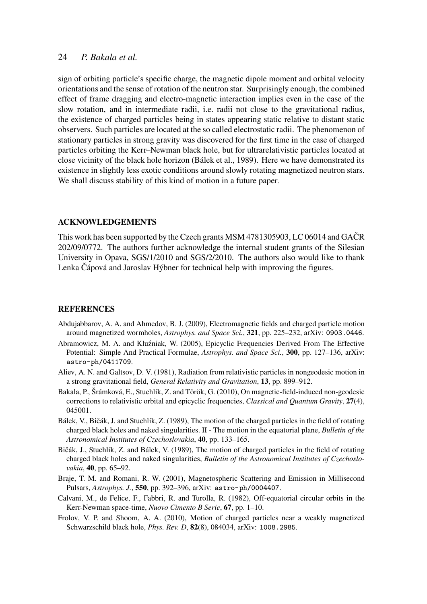sign of orbiting particle's specific charge, the magnetic dipole moment and orbital velocity orientations and the sense of rotation of the neutron star. Surprisingly enough, the combined effect of frame dragging and electro-magnetic interaction implies even in the case of the slow rotation, and in intermediate radii, i.e. radii not close to the gravitational radius, the existence of charged particles being in states appearing static relative to distant static observers. Such particles are located at the so called electrostatic radii. The phenomenon of stationary particles in strong gravity was discovered for the first time in the case of charged particles orbiting the Kerr–Newman black hole, but for ultrarelativistic particles located at close vicinity of the black hole horizon (Bálek et al., 1989). Here we have demonstrated its existence in slightly less exotic conditions around slowly rotating magnetized neutron stars. We shall discuss stability of this kind of motion in a future paper.

#### ACKNOWLEDGEMENTS

This work has been supported by the Czech grants MSM 4781305903, LC 06014 and GAČR 202/09/0772. The authors further acknowledge the internal student grants of the Silesian University in Opava, SGS/1/2010 and SGS/2/2010. The authors also would like to thank Lenka Čápová and Jaroslav Hýbner for technical help with improving the figures.

#### **REFERENCES**

- Abdujabbarov, A. A. and Ahmedov, B. J. (2009), Electromagnetic fields and charged particle motion around magnetized wormholes, *Astrophys. and Space Sci.*, 321, pp. 225–232, arXiv: 0903.0446.
- Abramowicz, M. A. and Kluźniak, W. (2005), Epicyclic Frequencies Derived From The Effective Potential: Simple And Practical Formulae, *Astrophys. and Space Sci.*, 300, pp. 127–136, arXiv: astro-ph/0411709.
- Aliev, A. N. and Galtsov, D. V. (1981), Radiation from relativistic particles in nongeodesic motion in a strong gravitational field, *General Relativity and Gravitation*, 13, pp. 899–912.
- Bakala, P., Šrámková, E., Stuchlík, Z. and Török, G. (2010), On magnetic-field-induced non-geodesic corrections to relativistic orbital and epicyclic frequencies, *Classical and Quantum Gravity*, 27(4), 045001.
- Bálek, V., Bičák, J. and Stuchlík, Z. (1989), The motion of the charged particles in the field of rotating charged black holes and naked singularities. II - The motion in the equatorial plane, *Bulletin of the Astronomical Institutes of Czechoslovakia*, 40, pp. 133–165.
- Bičák, J., Stuchlík, Z. and Bálek, V. (1989), The motion of charged particles in the field of rotating charged black holes and naked singularities, *Bulletin of the Astronomical Institutes of Czechoslovakia*, 40, pp. 65–92.
- Braje, T. M. and Romani, R. W. (2001), Magnetospheric Scattering and Emission in Millisecond Pulsars, *Astrophys. J.*, 550, pp. 392–396, arXiv: astro-ph/0004407.
- Calvani, M., de Felice, F., Fabbri, R. and Turolla, R. (1982), Off-equatorial circular orbits in the Kerr-Newman space-time, *Nuovo Cimento B Serie*, 67, pp. 1–10.
- Frolov, V. P. and Shoom, A. A. (2010), Motion of charged particles near a weakly magnetized Schwarzschild black hole, *Phys. Rev. D*, 82(8), 084034, arXiv: 1008.2985.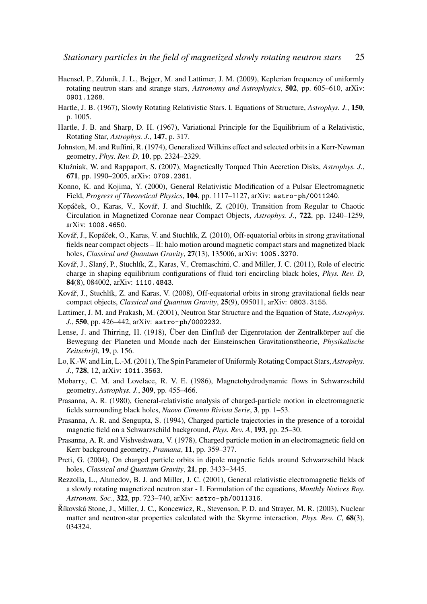- Haensel, P., Zdunik, J. L., Bejger, M. and Lattimer, J. M. (2009), Keplerian frequency of uniformly rotating neutron stars and strange stars, *Astronomy and Astrophysics*, 502, pp. 605–610, arXiv: 0901.1268.
- Hartle, J. B. (1967), Slowly Rotating Relativistic Stars. I. Equations of Structure, *Astrophys. J.*, 150, p. 1005.
- Hartle, J. B. and Sharp, D. H. (1967), Variational Principle for the Equilibrium of a Relativistic, Rotating Star, *Astrophys. J.*, 147, p. 317.
- Johnston, M. and Ruffini, R. (1974), Generalized Wilkins effect and selected orbits in a Kerr-Newman geometry, *Phys. Rev. D*, 10, pp. 2324–2329.
- Kluźniak, W. and Rappaport, S. (2007), Magnetically Torqued Thin Accretion Disks, Astrophys. J., 671, pp. 1990–2005, arXiv: 0709.2361.
- Konno, K. and Kojima, Y. (2000), General Relativistic Modification of a Pulsar Electromagnetic Field, *Progress of Theoretical Physics*, 104, pp. 1117–1127, arXiv: astro-ph/0011240.
- Kopáček, O., Karas, V., Kovář, J. and Stuchlík, Z. (2010), Transition from Regular to Chaotic Circulation in Magnetized Coronae near Compact Objects, *Astrophys. J.*, 722, pp. 1240–1259, arXiv: 1008.4650.
- Kovář, J., Kopáček, O., Karas, V. and Stuchlík, Z. (2010), Off-equatorial orbits in strong gravitational fields near compact objects – II: halo motion around magnetic compact stars and magnetized black holes, *Classical and Quantum Gravity*, 27(13), 135006, arXiv: 1005.3270.
- Kovář, J., Slaný, P., Stuchlík, Z., Karas, V., Cremaschini, C. and Miller, J. C. (2011), Role of electric charge in shaping equilibrium configurations of fluid tori encircling black holes, *Phys. Rev. D*, 84(8), 084002, arXiv: 1110.4843.
- Kovář, J., Stuchlík, Z. and Karas, V. (2008), Off-equatorial orbits in strong gravitational fields near compact objects, *Classical and Quantum Gravity*, 25(9), 095011, arXiv: 0803.3155.
- Lattimer, J. M. and Prakash, M. (2001), Neutron Star Structure and the Equation of State, *Astrophys. J.*, 550, pp. 426–442, arXiv: astro-ph/0002232.
- Lense, J. and Thirring, H. (1918), Über den Einfluß der Eigenrotation der Zentralkörper auf die Bewegung der Planeten und Monde nach der Einsteinschen Gravitationstheorie, *Physikalische Zeitschrift*, 19, p. 156.
- Lo, K.-W. and Lin, L.-M. (2011), The Spin Parameter of Uniformly Rotating Compact Stars, *Astrophys. J.*, 728, 12, arXiv: 1011.3563.
- Mobarry, C. M. and Lovelace, R. V. E. (1986), Magnetohydrodynamic flows in Schwarzschild geometry, *Astrophys. J.*, 309, pp. 455–466.
- Prasanna, A. R. (1980), General-relativistic analysis of charged-particle motion in electromagnetic fields surrounding black holes, *Nuovo Cimento Rivista Serie*, 3, pp. 1–53.
- Prasanna, A. R. and Sengupta, S. (1994), Charged particle trajectories in the presence of a toroidal magnetic field on a Schwarzschild background, *Phys. Rev. A*, 193, pp. 25–30.
- Prasanna, A. R. and Vishveshwara, V. (1978), Charged particle motion in an electromagnetic field on Kerr background geometry, *Pramana*, 11, pp. 359–377.
- Preti, G. (2004), On charged particle orbits in dipole magnetic fields around Schwarzschild black holes, *Classical and Quantum Gravity*, 21, pp. 3433–3445.
- Rezzolla, L., Ahmedov, B. J. and Miller, J. C. (2001), General relativistic electromagnetic fields of a slowly rotating magnetized neutron star - I. Formulation of the equations, *Monthly Notices Roy. Astronom. Soc.*, 322, pp. 723–740, arXiv: astro-ph/0011316.
- Říkovská Stone, J., Miller, J. C., Koncewicz, R., Stevenson, P. D. and Strayer, M. R. (2003), Nuclear matter and neutron-star properties calculated with the Skyrme interaction, *Phys. Rev. C*, 68(3), 034324.